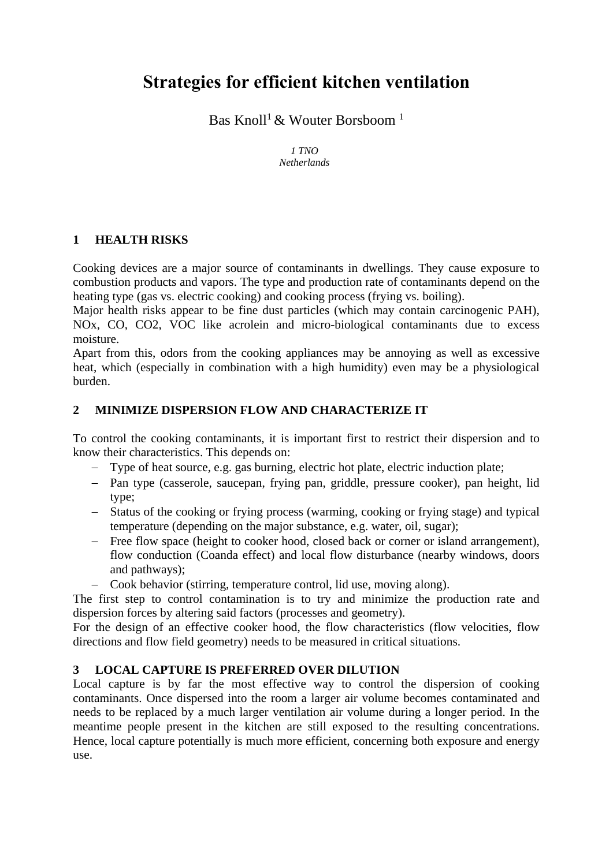# **Strategies for efficient kitchen ventilation**

Bas Knoll<sup>1</sup> & Wouter Borsboom<sup>1</sup>

*1 TNO Netherlands*

#### **1 HEALTH RISKS**

Cooking devices are a major source of contaminants in dwellings. They cause exposure to combustion products and vapors. The type and production rate of contaminants depend on the heating type (gas vs. electric cooking) and cooking process (frying vs. boiling).

Major health risks appear to be fine dust particles (which may contain carcinogenic PAH), NOx, CO, CO2, VOC like acrolein and micro-biological contaminants due to excess moisture.

Apart from this, odors from the cooking appliances may be annoying as well as excessive heat, which (especially in combination with a high humidity) even may be a physiological burden.

#### **2 MINIMIZE DISPERSION FLOW AND CHARACTERIZE IT**

To control the cooking contaminants, it is important first to restrict their dispersion and to know their characteristics. This depends on:

- Type of heat source, e.g. gas burning, electric hot plate, electric induction plate;
- Pan type (casserole, saucepan, frying pan, griddle, pressure cooker), pan height, lid type;
- Status of the cooking or frying process (warming, cooking or frying stage) and typical temperature (depending on the major substance, e.g. water, oil, sugar);
- Free flow space (height to cooker hood, closed back or corner or island arrangement), flow conduction (Coanda effect) and local flow disturbance (nearby windows, doors and pathways);
- Cook behavior (stirring, temperature control, lid use, moving along).

The first step to control contamination is to try and minimize the production rate and dispersion forces by altering said factors (processes and geometry).

For the design of an effective cooker hood, the flow characteristics (flow velocities, flow directions and flow field geometry) needs to be measured in critical situations.

## **3 LOCAL CAPTURE IS PREFERRED OVER DILUTION**

Local capture is by far the most effective way to control the dispersion of cooking contaminants. Once dispersed into the room a larger air volume becomes contaminated and needs to be replaced by a much larger ventilation air volume during a longer period. In the meantime people present in the kitchen are still exposed to the resulting concentrations. Hence, local capture potentially is much more efficient, concerning both exposure and energy use.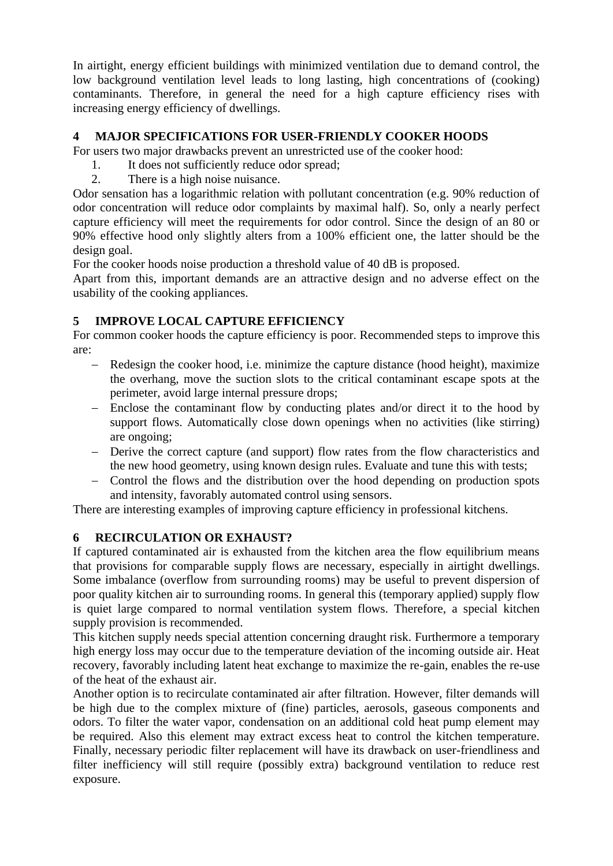In airtight, energy efficient buildings with minimized ventilation due to demand control, the low background ventilation level leads to long lasting, high concentrations of (cooking) contaminants. Therefore, in general the need for a high capture efficiency rises with increasing energy efficiency of dwellings.

#### **4 MAJOR SPECIFICATIONS FOR USER-FRIENDLY COOKER HOODS**

For users two major drawbacks prevent an unrestricted use of the cooker hood:

- 1. It does not sufficiently reduce odor spread;
- 2. There is a high noise nuisance.

Odor sensation has a logarithmic relation with pollutant concentration (e.g. 90% reduction of odor concentration will reduce odor complaints by maximal half). So, only a nearly perfect capture efficiency will meet the requirements for odor control. Since the design of an 80 or 90% effective hood only slightly alters from a 100% efficient one, the latter should be the design goal.

For the cooker hoods noise production a threshold value of 40 dB is proposed.

Apart from this, important demands are an attractive design and no adverse effect on the usability of the cooking appliances.

## **5 IMPROVE LOCAL CAPTURE EFFICIENCY**

For common cooker hoods the capture efficiency is poor. Recommended steps to improve this are:

- Redesign the cooker hood, i.e. minimize the capture distance (hood height), maximize the overhang, move the suction slots to the critical contaminant escape spots at the perimeter, avoid large internal pressure drops;
- Enclose the contaminant flow by conducting plates and/or direct it to the hood by support flows. Automatically close down openings when no activities (like stirring) are ongoing;
- Derive the correct capture (and support) flow rates from the flow characteristics and the new hood geometry, using known design rules. Evaluate and tune this with tests;
- Control the flows and the distribution over the hood depending on production spots and intensity, favorably automated control using sensors.

There are interesting examples of improving capture efficiency in professional kitchens.

## **6 RECIRCULATION OR EXHAUST?**

If captured contaminated air is exhausted from the kitchen area the flow equilibrium means that provisions for comparable supply flows are necessary, especially in airtight dwellings. Some imbalance (overflow from surrounding rooms) may be useful to prevent dispersion of poor quality kitchen air to surrounding rooms. In general this (temporary applied) supply flow is quiet large compared to normal ventilation system flows. Therefore, a special kitchen supply provision is recommended.

This kitchen supply needs special attention concerning draught risk. Furthermore a temporary high energy loss may occur due to the temperature deviation of the incoming outside air. Heat recovery, favorably including latent heat exchange to maximize the re-gain, enables the re-use of the heat of the exhaust air.

Another option is to recirculate contaminated air after filtration. However, filter demands will be high due to the complex mixture of (fine) particles, aerosols, gaseous components and odors. To filter the water vapor, condensation on an additional cold heat pump element may be required. Also this element may extract excess heat to control the kitchen temperature. Finally, necessary periodic filter replacement will have its drawback on user-friendliness and filter inefficiency will still require (possibly extra) background ventilation to reduce rest exposure.